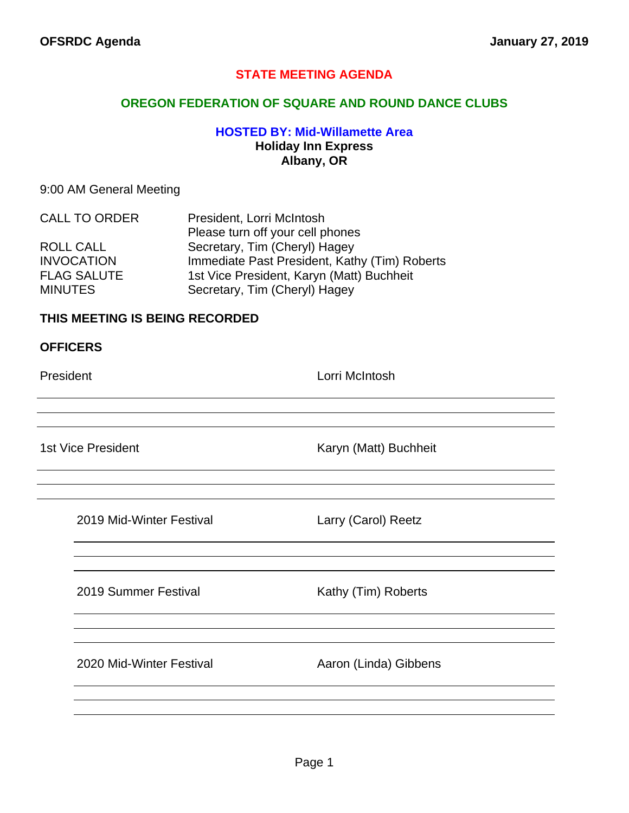## **STATE MEETING AGENDA**

#### **OREGON FEDERATION OF SQUARE AND ROUND DANCE CLUBS**

## **HOSTED BY: Mid-Willamette Area Holiday Inn Express Albany, OR**

#### 9:00 AM General Meeting

| <b>CALL TO ORDER</b> | President, Lorri McIntosh                     |  |
|----------------------|-----------------------------------------------|--|
|                      | Please turn off your cell phones              |  |
| ROLL CALL            | Secretary, Tim (Cheryl) Hagey                 |  |
| <b>INVOCATION</b>    | Immediate Past President, Kathy (Tim) Roberts |  |
| <b>FLAG SALUTE</b>   | 1st Vice President, Karyn (Matt) Buchheit     |  |
| <b>MINUTES</b>       | Secretary, Tim (Cheryl) Hagey                 |  |

#### **THIS MEETING IS BEING RECORDED**

#### **OFFICERS**

President **Lorri McIntosh** 

1st Vice President **Karyn (Matt)** Buchheit

2019 Mid-Winter Festival Larry (Carol) Reetz

2019 Summer Festival Kathy (Tim) Roberts

2020 Mid-Winter Festival **Aaron (Linda)** Gibbens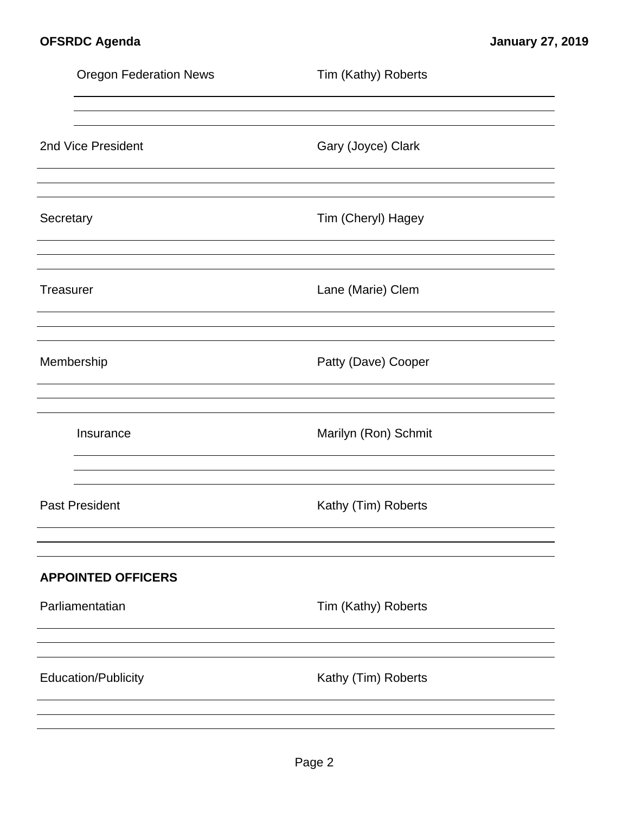|           | <b>Oregon Federation News</b> | Tim (Kathy) Roberts  |
|-----------|-------------------------------|----------------------|
|           |                               |                      |
|           | 2nd Vice President            | Gary (Joyce) Clark   |
| Secretary |                               | Tim (Cheryl) Hagey   |
| Treasurer |                               | Lane (Marie) Clem    |
|           | Membership                    | Patty (Dave) Cooper  |
|           | Insurance                     | Marilyn (Ron) Schmit |
|           | <b>Past President</b>         | Kathy (Tim) Roberts  |
|           | <b>APPOINTED OFFICERS</b>     |                      |
|           | Parliamentatian               | Tim (Kathy) Roberts  |
|           |                               |                      |
|           | <b>Education/Publicity</b>    | Kathy (Tim) Roberts  |
|           |                               |                      |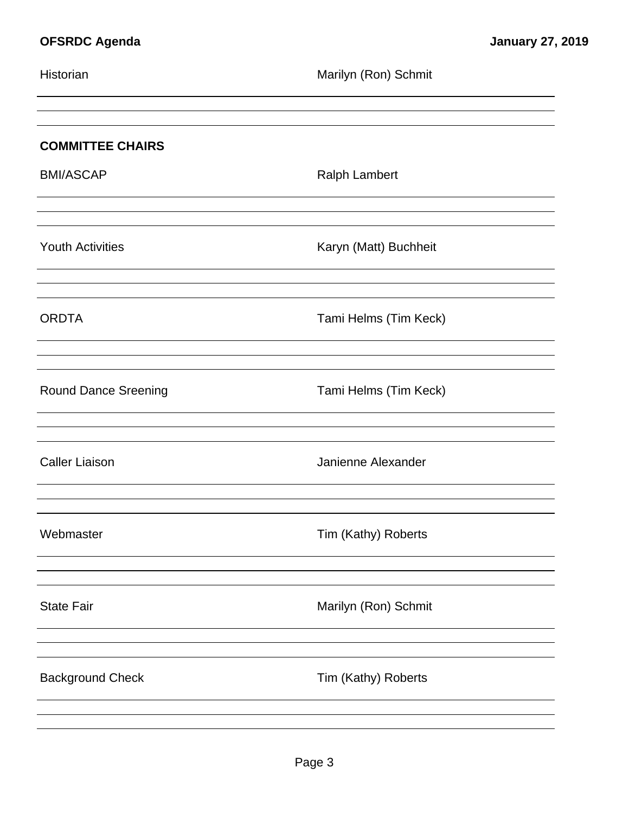| Historian                   | Marilyn (Ron) Schmit  |
|-----------------------------|-----------------------|
|                             |                       |
| <b>COMMITTEE CHAIRS</b>     |                       |
| <b>BMI/ASCAP</b>            | <b>Ralph Lambert</b>  |
|                             |                       |
| <b>Youth Activities</b>     | Karyn (Matt) Buchheit |
|                             |                       |
| <b>ORDTA</b>                | Tami Helms (Tim Keck) |
|                             |                       |
| <b>Round Dance Sreening</b> | Tami Helms (Tim Keck) |
|                             |                       |
| <b>Caller Liaison</b>       | Janienne Alexander    |
|                             |                       |
| Webmaster                   | Tim (Kathy) Roberts   |
|                             |                       |
| <b>State Fair</b>           | Marilyn (Ron) Schmit  |
|                             |                       |
| <b>Background Check</b>     | Tim (Kathy) Roberts   |
|                             |                       |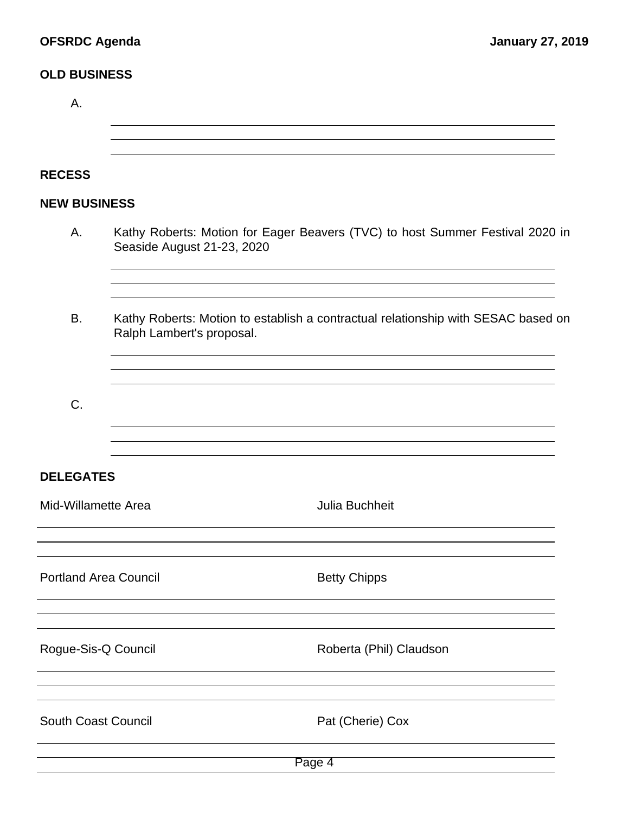## **OLD BUSINESS**

| А.                           |                                                                                                                |  |  |  |  |  |
|------------------------------|----------------------------------------------------------------------------------------------------------------|--|--|--|--|--|
|                              |                                                                                                                |  |  |  |  |  |
| <b>RECESS</b>                |                                                                                                                |  |  |  |  |  |
| <b>NEW BUSINESS</b>          |                                                                                                                |  |  |  |  |  |
| Α.                           | Kathy Roberts: Motion for Eager Beavers (TVC) to host Summer Festival 2020 in<br>Seaside August 21-23, 2020    |  |  |  |  |  |
| <b>B.</b>                    | Kathy Roberts: Motion to establish a contractual relationship with SESAC based on<br>Ralph Lambert's proposal. |  |  |  |  |  |
| C.                           |                                                                                                                |  |  |  |  |  |
| <b>DELEGATES</b>             |                                                                                                                |  |  |  |  |  |
| Mid-Willamette Area          | <b>Julia Buchheit</b>                                                                                          |  |  |  |  |  |
|                              |                                                                                                                |  |  |  |  |  |
| <b>Portland Area Council</b> | <b>Betty Chipps</b>                                                                                            |  |  |  |  |  |
| Rogue-Sis-Q Council          | Roberta (Phil) Claudson                                                                                        |  |  |  |  |  |
| <b>South Coast Council</b>   | Pat (Cherie) Cox                                                                                               |  |  |  |  |  |
| Page 4                       |                                                                                                                |  |  |  |  |  |
|                              |                                                                                                                |  |  |  |  |  |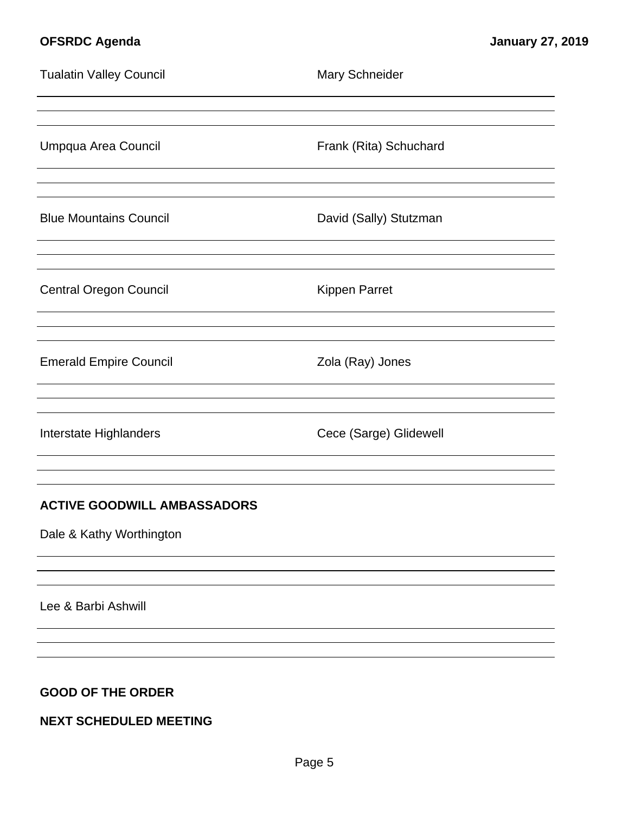| <b>Tualatin Valley Council</b>                                 | <b>Mary Schneider</b>  |
|----------------------------------------------------------------|------------------------|
| Umpqua Area Council                                            | Frank (Rita) Schuchard |
| <b>Blue Mountains Council</b>                                  | David (Sally) Stutzman |
| <b>Central Oregon Council</b>                                  | <b>Kippen Parret</b>   |
| <b>Emerald Empire Council</b>                                  | Zola (Ray) Jones       |
| Interstate Highlanders                                         | Cece (Sarge) Glidewell |
| <b>ACTIVE GOODWILL AMBASSADORS</b><br>Dale & Kathy Worthington |                        |
| Lee & Barbi Ashwill                                            |                        |

## **GOOD OF THE ORDER**

# **NEXT SCHEDULED MEETING**